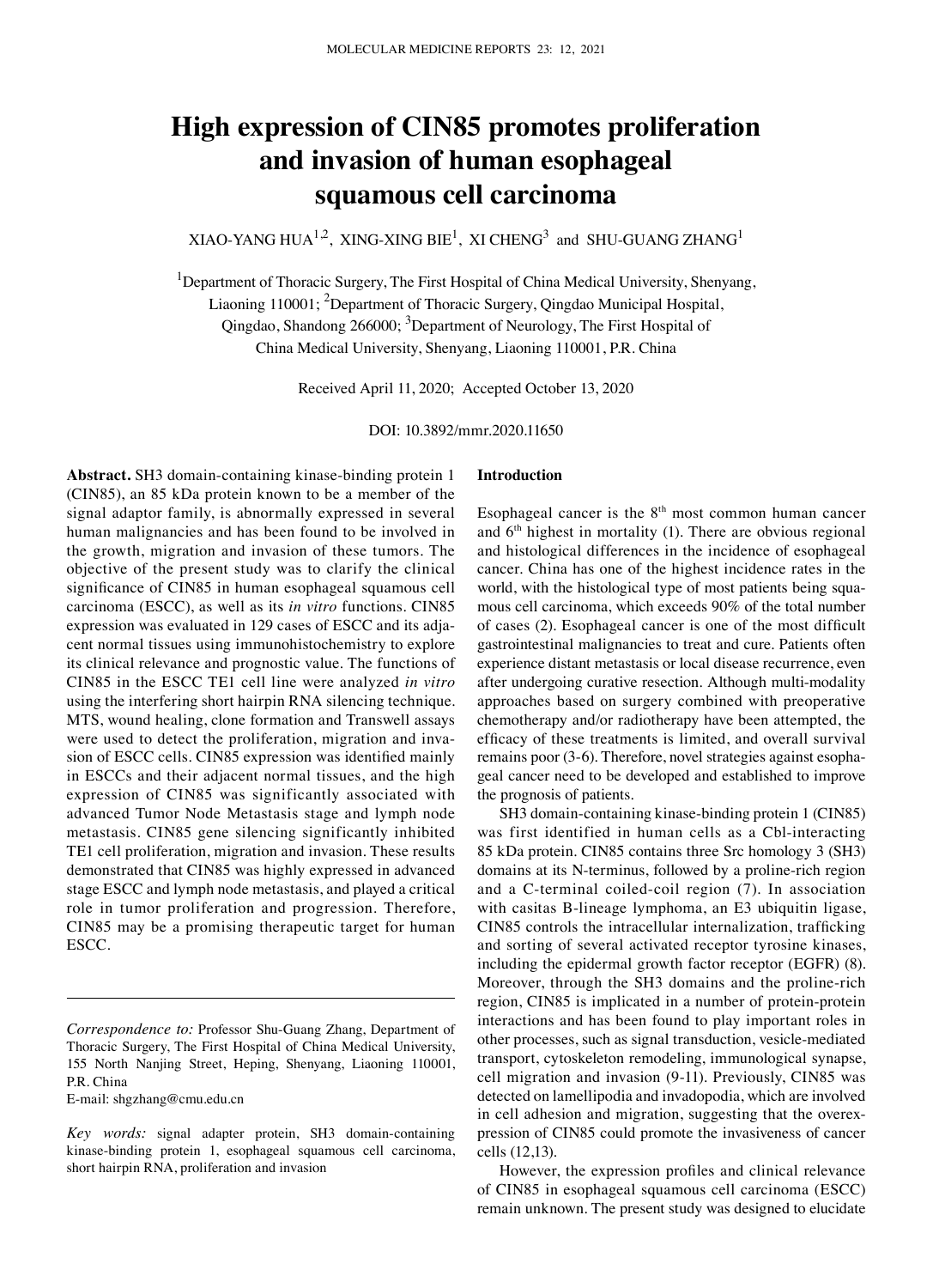# **High expression of CIN85 promotes proliferation and invasion of human esophageal squamous cell carcinoma**

XIAO-YANG HUA $^{1,2}$ , XING-XING BIE $^1$ , XI CHENG $^3$  and SHU-GUANG ZHANG $^1$ 

<sup>1</sup>Department of Thoracic Surgery, The First Hospital of China Medical University, Shenyang, Liaoning 110001; <sup>2</sup>Department of Thoracic Surgery, Qingdao Municipal Hospital, Qingdao, Shandong 266000; <sup>3</sup>Department of Neurology, The First Hospital of China Medical University, Shenyang, Liaoning 110001, P.R. China

Received April 11, 2020; Accepted October 13, 2020

DOI: 10.3892/mmr.2020.11650

Abstract. SH3 domain-containing kinase-binding protein 1 (CIN85), an 85 kDa protein known to be a member of the signal adaptor family, is abnormally expressed in several human malignancies and has been found to be involved in the growth, migration and invasion of these tumors. The objective of the present study was to clarify the clinical significance of CIN85 in human esophageal squamous cell carcinoma (ESCC), as well as its *in vitro* functions. CIN85 expression was evaluated in 129 cases of ESCC and its adjacent normal tissues using immunohistochemistry to explore its clinical relevance and prognostic value. The functions of CIN85 in the ESCC TE1 cell line were analyzed *in vitro* using the interfering short hairpin RNA silencing technique. MTS, wound healing, clone formation and Transwell assays were used to detect the proliferation, migration and invasion of ESCC cells. CIN85 expression was identified mainly in ESCCs and their adjacent normal tissues, and the high expression of CIN85 was significantly associated with advanced Tumor Node Metastasis stage and lymph node metastasis. CIN85 gene silencing significantly inhibited TE1 cell proliferation, migration and invasion. These results demonstrated that CIN85 was highly expressed in advanced stage ESCC and lymph node metastasis, and played a critical role in tumor proliferation and progression. Therefore, CIN85 may be a promising therapeutic target for human ESCC.

E‑mail: shgzhang@cmu.edu.cn

#### **Introduction**

Esophageal cancer is the  $8<sup>th</sup>$  most common human cancer and  $6<sup>th</sup>$  highest in mortality (1). There are obvious regional and histological differences in the incidence of esophageal cancer. China has one of the highest incidence rates in the world, with the histological type of most patients being squamous cell carcinoma, which exceeds 90% of the total number of cases (2). Esophageal cancer is one of the most difficult gastrointestinal malignancies to treat and cure. Patients often experience distant metastasis or local disease recurrence, even after undergoing curative resection. Although multi-modality approaches based on surgery combined with preoperative chemotherapy and/or radiotherapy have been attempted, the efficacy of these treatments is limited, and overall survival remains poor (3-6). Therefore, novel strategies against esophageal cancer need to be developed and established to improve the prognosis of patients.

SH3 domain-containing kinase-binding protein 1 (CIN85) was first identified in human cells as a Cbl-interacting 85 kDa protein. CIN85 contains three Src homology 3 (SH3) domains at its N-terminus, followed by a proline-rich region and a C‑terminal coiled‑coil region (7). In association with casitas B-lineage lymphoma, an E3 ubiquitin ligase, CIN85 controls the intracellular internalization, trafficking and sorting of several activated receptor tyrosine kinases, including the epidermal growth factor receptor (EGFR) (8). Moreover, through the SH3 domains and the proline-rich region, CIN85 is implicated in a number of protein‑protein interactions and has been found to play important roles in other processes, such as signal transduction, vesicle‑mediated transport, cytoskeleton remodeling, immunological synapse, cell migration and invasion (9‑11). Previously, CIN85 was detected on lamellipodia and invadopodia, which are involved in cell adhesion and migration, suggesting that the overexpression of CIN85 could promote the invasiveness of cancer cells (12,13).

However, the expression profiles and clinical relevance of CIN85 in esophageal squamous cell carcinoma (ESCC) remain unknown. The present study was designed to elucidate

*Correspondence to:* Professor Shu‑Guang Zhang, Department of Thoracic Surgery, The First Hospital of China Medical University, 155 North Nanjing Street, Heping, Shenyang, Liaoning 110001, P.R. China

*Key words:* signal adapter protein, SH3 domain‑containing kinase-binding protein 1, esophageal squamous cell carcinoma, short hairpin RNA, proliferation and invasion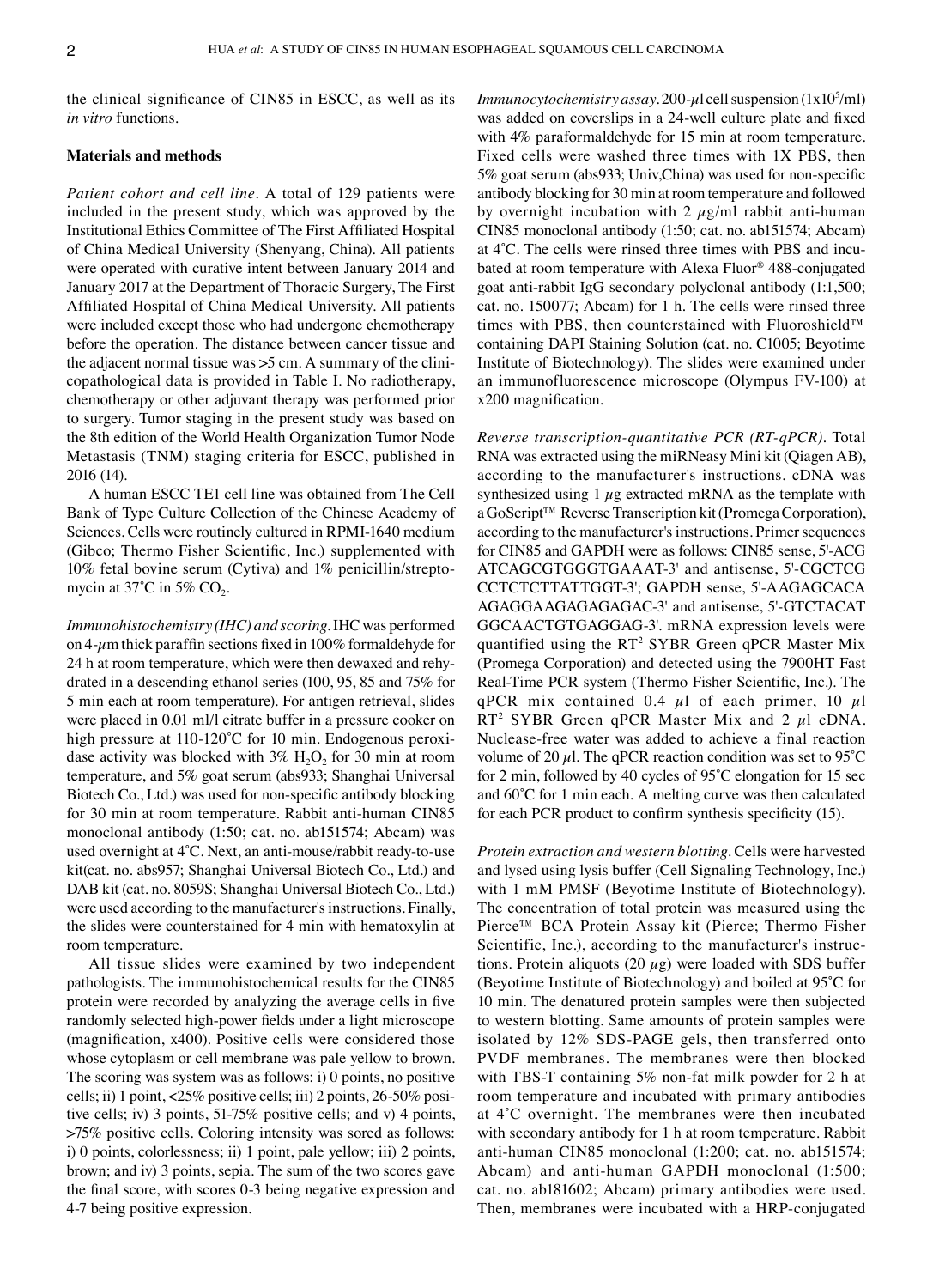the clinical significance of CIN85 in ESCC, as well as its *in vitro* functions.

#### **Materials and methods**

*Patient cohort and cell line.* A total of 129 patients were included in the present study, which was approved by the Institutional Ethics Committee of The First Affiliated Hospital of China Medical University (Shenyang, China). All patients were operated with curative intent between January 2014 and January 2017 at the Department of Thoracic Surgery, The First Affiliated Hospital of China Medical University. All patients were included except those who had undergone chemotherapy before the operation. The distance between cancer tissue and the adjacent normal tissue was  $>5$  cm. A summary of the clinicopathological data is provided in Table I. No radiotherapy, chemotherapy or other adjuvant therapy was performed prior to surgery. Tumor staging in the present study was based on the 8th edition of the World Health Organization Tumor Node Metastasis (TNM) staging criteria for ESCC, published in 2016 (14).

A human ESCC TE1 cell line was obtained from The Cell Bank of Type Culture Collection of the Chinese Academy of Sciences. Cells were routinely cultured in RPMI-1640 medium (Gibco; Thermo Fisher Scientific, Inc.) supplemented with 10% fetal bovine serum (Cytiva) and 1% penicillin/streptomycin at 37 $^{\circ}$ C in 5% CO<sub>2</sub>.

*Immunohistochemistry (IHC) and scoring.* IHC was performed on 4- $\mu$ m thick paraffin sections fixed in 100% formaldehyde for 24 h at room temperature, which were then dewaxed and rehy‑ drated in a descending ethanol series (100, 95, 85 and 75% for 5 min each at room temperature). For antigen retrieval, slides were placed in 0.01 ml/l citrate buffer in a pressure cooker on high pressure at 110-120°C for 10 min. Endogenous peroxidase activity was blocked with  $3\%$  H<sub>2</sub>O<sub>2</sub> for 30 min at room temperature, and 5% goat serum (abs933; Shanghai Universal Biotech Co., Ltd.) was used for non‑specific antibody blocking for 30 min at room temperature. Rabbit anti-human CIN85 monoclonal antibody (1:50; cat. no. ab151574; Abcam) was used overnight at 4°C. Next, an anti-mouse/rabbit ready-to-use kit(cat. no. abs957; Shanghai Universal Biotech Co., Ltd.) and DAB kit (cat. no. 8059S; Shanghai Universal Biotech Co., Ltd.) were used according to the manufacturer's instructions. Finally, the slides were counterstained for 4 min with hematoxylin at room temperature.

All tissue slides were examined by two independent pathologists. The immunohistochemical results for the CIN85 protein were recorded by analyzing the average cells in five randomly selected high-power fields under a light microscope (magnification, x400). Positive cells were considered those whose cytoplasm or cell membrane was pale yellow to brown. The scoring was system was as follows: i) 0 points, no positive cells; ii) 1 point, <25% positive cells; iii) 2 points, 26-50% positive cells; iv) 3 points, 51-75% positive cells; and v) 4 points, >75% positive cells. Coloring intensity was sored as follows: i) 0 points, colorlessness; ii) 1 point, pale yellow; iii) 2 points, brown; and iv) 3 points, sepia. The sum of the two scores gave the final score, with scores 0‑3 being negative expression and 4‑7 being positive expression.

*Immunocytochemistry assay.* 200-µl cell suspension (1x10<sup>5</sup>/ml) was added on coverslips in a 24‑well culture plate and fixed with 4% paraformaldehyde for 15 min at room temperature. Fixed cells were washed three times with 1X PBS, then 5% goat serum (abs933; Univ,China) was used for non‑specific antibody blocking for 30 min at room temperature and followed by overnight incubation with 2  $\mu$ g/ml rabbit anti-human CIN85 monoclonal antibody (1:50; cat. no. ab151574; Abcam) at 4°C. The cells were rinsed three times with PBS and incubated at room temperature with Alexa Fluor® 488‑conjugated goat anti‑rabbit IgG secondary polyclonal antibody (1:1,500; cat. no. 150077; Abcam) for 1 h. The cells were rinsed three times with PBS, then counterstained with Fluoroshield™ containing DAPI Staining Solution (cat. no. C1005; Beyotime Institute of Biotechnology). The slides were examined under an immunofluorescence microscope (Olympus FV‑100) at x200 magnification.

*Reverse transcription‑quantitative PCR (RT‑qPCR).* Total RNA was extracted using the miRNeasy Mini kit (Qiagen AB), according to the manufacturer's instructions. cDNA was synthesized using  $1 \mu$ g extracted mRNA as the template with a GoScript<sup>™</sup> Reverse Transcription kit (Promega Corporation), according to the manufacturer's instructions. Primer sequences for CIN85 and GAPDH were as follows: CIN85 sense, 5'‑ACG ATCAGCGTGGGTGAAAT‑3' and antisense, 5'‑CGCTCG CCTCTCTTATTGGT‑3'; GAPDH sense, 5'‑AAGAGCACA AGAGGAAGAGAGAGAC‑3' and antisense, 5'‑GTCTACAT GGCAACTGTGAGGAG‑3'. mRNA expression levels were quantified using the RT<sup>2</sup> SYBR Green qPCR Master Mix (Promega Corporation) and detected using the 7900HT Fast Real-Time PCR system (Thermo Fisher Scientific, Inc.). The qPCR mix contained 0.4  $\mu$ l of each primer, 10  $\mu$ l RT<sup>2</sup> SYBR Green qPCR Master Mix and 2  $\mu$ l cDNA. Nuclease‑free water was added to achieve a final reaction volume of 20  $\mu$ l. The qPCR reaction condition was set to 95°C for 2 min, followed by 40 cycles of 95˚C elongation for 15 sec and 60˚C for 1 min each. A melting curve was then calculated for each PCR product to confirm synthesis specificity (15).

*Protein extraction and western blotting.* Cells were harvested and lysed using lysis buffer (Cell Signaling Technology, Inc.) with 1 mM PMSF (Beyotime Institute of Biotechnology). The concentration of total protein was measured using the Pierce™ BCA Protein Assay kit (Pierce; Thermo Fisher Scientific, Inc.), according to the manufacturer's instructions. Protein aliquots (20  $\mu$ g) were loaded with SDS buffer (Beyotime Institute of Biotechnology) and boiled at 95˚C for 10 min. The denatured protein samples were then subjected to western blotting. Same amounts of protein samples were isolated by 12% SDS‑PAGE gels, then transferred onto PVDF membranes. The membranes were then blocked with TBS-T containing 5% non-fat milk powder for 2 h at room temperature and incubated with primary antibodies at 4˚C overnight. The membranes were then incubated with secondary antibody for 1 h at room temperature. Rabbit anti‑human CIN85 monoclonal (1:200; cat. no. ab151574; Abcam) and anti-human GAPDH monoclonal (1:500; cat. no. ab181602; Abcam) primary antibodies were used. Then, membranes were incubated with a HRP‑conjugated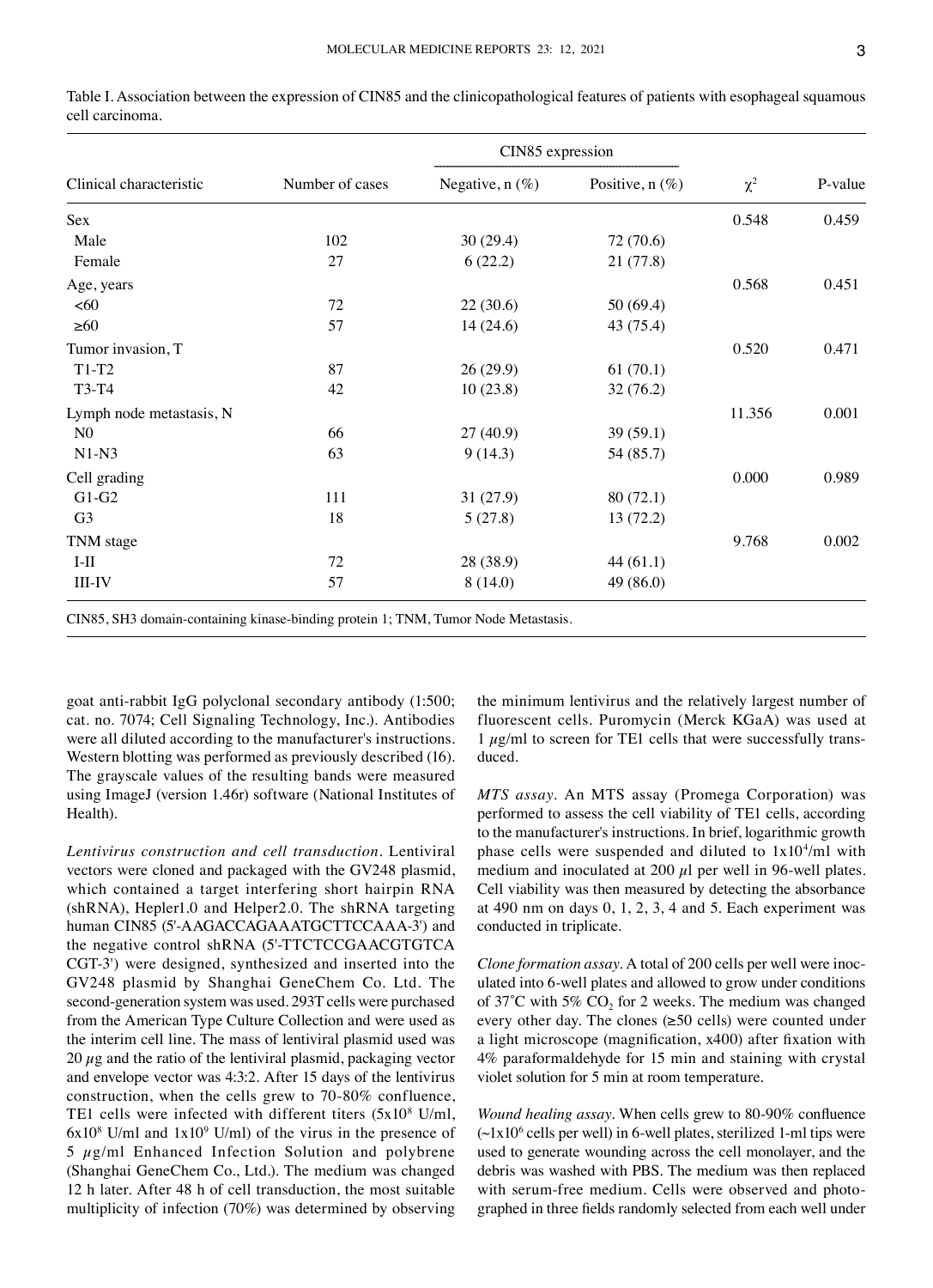| Clinical characteristic  |                 | CIN85 expression  |                   |          |         |
|--------------------------|-----------------|-------------------|-------------------|----------|---------|
|                          | Number of cases | Negative, $n$ (%) | Positive, $n$ (%) | $\chi^2$ | P-value |
| Sex                      |                 |                   |                   | 0.548    | 0.459   |
| Male                     | 102             | 30(29.4)          | 72 (70.6)         |          |         |
| Female                   | 27              | 6(22.2)           | 21(77.8)          |          |         |
| Age, years               |                 |                   |                   | 0.568    | 0.451   |
| <60                      | 72              | 22(30.6)          | 50 (69.4)         |          |         |
| $\geq 60$                | 57              | 14(24.6)          | 43 (75.4)         |          |         |
| Tumor invasion, T        |                 |                   |                   | 0.520    | 0.471   |
| $T1-T2$                  | 87              | 26(29.9)          | 61(70.1)          |          |         |
| T3-T4                    | 42              | 10(23.8)          | 32(76.2)          |          |         |
| Lymph node metastasis, N |                 |                   |                   | 11.356   | 0.001   |
| N <sub>0</sub>           | 66              | 27(40.9)          | 39(59.1)          |          |         |
| $N1-N3$                  | 63              | 9(14.3)           | 54 (85.7)         |          |         |
| Cell grading             |                 |                   |                   | 0.000    | 0.989   |
| $G1-G2$                  | 111             | 31(27.9)          | 80(72.1)          |          |         |
| G <sub>3</sub>           | 18              | 5(27.8)           | 13(72.2)          |          |         |
| TNM stage                |                 |                   |                   | 9.768    | 0.002   |
| $I-II$                   | 72              | 28 (38.9)         | 44(61.1)          |          |         |
| <b>III-IV</b>            | 57              | 8(14.0)           | 49 (86.0)         |          |         |

Table I. Association between the expression of CIN85 and the clinicopathological features of patients with esophageal squamous cell carcinoma.

goat anti-rabbit IgG polyclonal secondary antibody (1:500; cat. no. 7074; Cell Signaling Technology, Inc.). Antibodies were all diluted according to the manufacturer's instructions. Western blotting was performed as previously described (16). The grayscale values of the resulting bands were measured using ImageJ (version 1.46r) software (National Institutes of Health).

*Lentivirus construction and cell transduction.* Lentiviral vectors were cloned and packaged with the GV248 plasmid, which contained a target interfering short hairpin RNA (shRNA), Hepler1.0 and Helper2.0. The shRNA targeting human CIN85 (5'-AAGACCAGAAATGCTTCCAAA-3') and the negative control shRNA (5'‑TTCTCCGAACGTGTCA CGT‑3') were designed, synthesized and inserted into the GV248 plasmid by Shanghai GeneChem Co. Ltd. The second‑generation system was used. 293T cells were purchased from the American Type Culture Collection and were used as the interim cell line. The mass of lentiviral plasmid used was 20  $\mu$ g and the ratio of the lentiviral plasmid, packaging vector and envelope vector was 4:3:2. After 15 days of the lentivirus construction, when the cells grew to 70‑80% confluence, TE1 cells were infected with different titers (5x10<sup>8</sup> U/ml,  $6x10^8$  U/ml and  $1x10^9$  U/ml) of the virus in the presence of  $5 \mu g/ml$  Enhanced Infection Solution and polybrene (Shanghai GeneChem Co., Ltd.). The medium was changed 12 h later. After 48 h of cell transduction, the most suitable multiplicity of infection (70%) was determined by observing the minimum lentivirus and the relatively largest number of fluorescent cells. Puromycin (Merck KGaA) was used at  $1 \mu g/ml$  to screen for TE1 cells that were successfully transduced.

*MTS assay.* An MTS assay (Promega Corporation) was performed to assess the cell viability of TE1 cells, according to the manufacturer's instructions. In brief, logarithmic growth phase cells were suspended and diluted to  $1x10^4$ /ml with medium and inoculated at 200  $\mu$ l per well in 96-well plates. Cell viability was then measured by detecting the absorbance at 490 nm on days  $0, 1, 2, 3, 4$  and 5. Each experiment was conducted in triplicate.

*Clone formation assay.* A total of 200 cells per well were inoculated into 6‑well plates and allowed to grow under conditions of 37°C with 5%  $CO<sub>2</sub>$  for 2 weeks. The medium was changed every other day. The clones (≥50 cells) were counted under a light microscope (magnification, x400) after fixation with 4% paraformaldehyde for 15 min and staining with crystal violet solution for 5 min at room temperature.

*Wound healing assay.* When cells grew to 80‑90% confluence  $(\sim 1x10^6 \text{ cells per well})$  in 6-well plates, sterilized 1-ml tips were used to generate wounding across the cell monolayer, and the debris was washed with PBS. The medium was then replaced with serum-free medium. Cells were observed and photographed in three fields randomly selected from each well under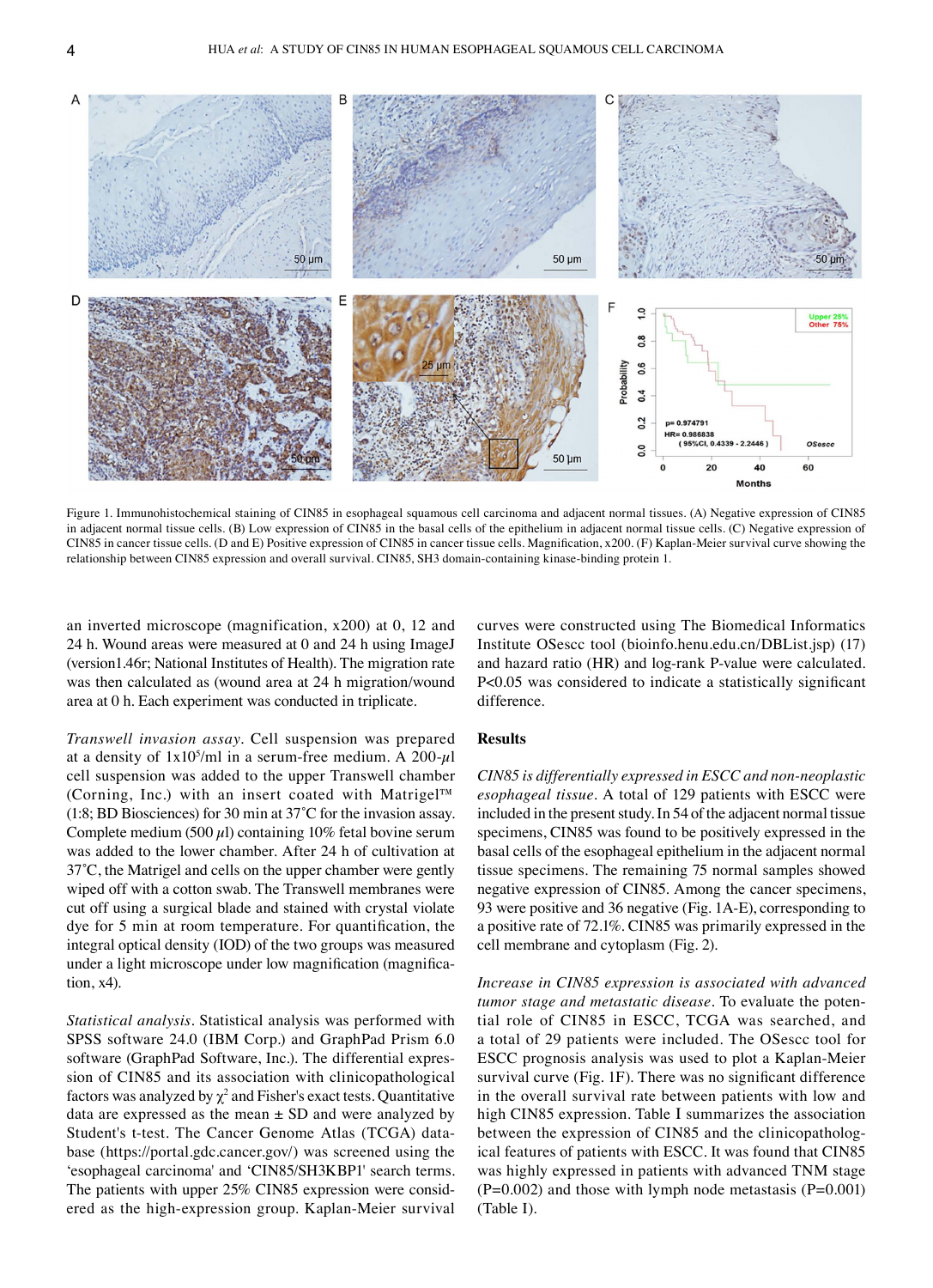

Figure 1. Immunohistochemical staining of CIN85 in esophageal squamous cell carcinoma and adjacent normal tissues. (A) Negative expression of CIN85 in adjacent normal tissue cells. (B) Low expression of CIN85 in the basal cells of the epithelium in adjacent normal tissue cells. (C) Negative expression of CIN85 in cancer tissue cells. (D and E) Positive expression of CIN85 in cancer tissue cells. Magnification, x200. (F) Kaplan-Meier survival curve showing the relationship between CIN85 expression and overall survival. CIN85, SH3 domain-containing kinase-binding protein 1.

an inverted microscope (magnification, x200) at 0, 12 and 24 h. Wound areas were measured at 0 and 24 h using ImageJ (version1.46r; National Institutes of Health). The migration rate was then calculated as (wound area at 24 h migration/wound area at 0 h. Each experiment was conducted in triplicate.

*Transwell invasion assay.* Cell suspension was prepared at a density of  $1x10^5$ /ml in a serum-free medium. A 200- $\mu$ l cell suspension was added to the upper Transwell chamber (Corning, Inc.) with an insert coated with Matrigel™ (1:8; BD Biosciences) for 30 min at 37˚C for the invasion assay. Complete medium (500  $\mu$ l) containing 10% fetal bovine serum was added to the lower chamber. After 24 h of cultivation at 37˚C, the Matrigel and cells on the upper chamber were gently wiped off with a cotton swab. The Transwell membranes were cut off using a surgical blade and stained with crystal violate dye for 5 min at room temperature. For quantification, the integral optical density (IOD) of the two groups was measured under a light microscope under low magnification (magnification, x4).

*Statistical analysis.* Statistical analysis was performed with SPSS software 24.0 (IBM Corp.) and GraphPad Prism 6.0 software (GraphPad Software, Inc.). The differential expression of CIN85 and its association with clinicopathological factors was analyzed by  $\chi^2$  and Fisher's exact tests. Quantitative data are expressed as the mean  $\pm$  SD and were analyzed by Student's t-test. The Cancer Genome Atlas (TCGA) database (https://portal.gdc.cancer.gov/) was screened using the 'esophageal carcinoma' and 'CIN85/SH3KBP1' search terms. The patients with upper 25% CIN85 expression were considered as the high‑expression group. Kaplan‑Meier survival curves were constructed using The Biomedical Informatics Institute OSescc tool (bioinfo.henu.edu.cn/DBList.jsp) (17) and hazard ratio (HR) and log-rank P-value were calculated. P<0.05 was considered to indicate a statistically significant difference.

## **Results**

*CIN85 is differentially expressed in ESCC and non‑neoplastic esophageal tissue.* A total of 129 patients with ESCC were included in the present study. In 54 of the adjacent normal tissue specimens, CIN85 was found to be positively expressed in the basal cells of the esophageal epithelium in the adjacent normal tissue specimens. The remaining 75 normal samples showed negative expression of CIN85. Among the cancer specimens, 93 were positive and 36 negative (Fig. 1A‑E), corresponding to a positive rate of 72.1%. CIN85 was primarily expressed in the cell membrane and cytoplasm (Fig. 2).

*Increase in CIN85 expression is associated with advanced tumor stage and metastatic disease*. To evaluate the potential role of CIN85 in ESCC, TCGA was searched, and a total of 29 patients were included. The OSescc tool for ESCC prognosis analysis was used to plot a Kaplan‑Meier survival curve (Fig. 1F). There was no significant difference in the overall survival rate between patients with low and high CIN85 expression. Table Ι summarizes the association between the expression of CIN85 and the clinicopathological features of patients with ESCC. It was found that CIN85 was highly expressed in patients with advanced TNM stage  $(P=0.002)$  and those with lymph node metastasis  $(P=0.001)$ (Table I).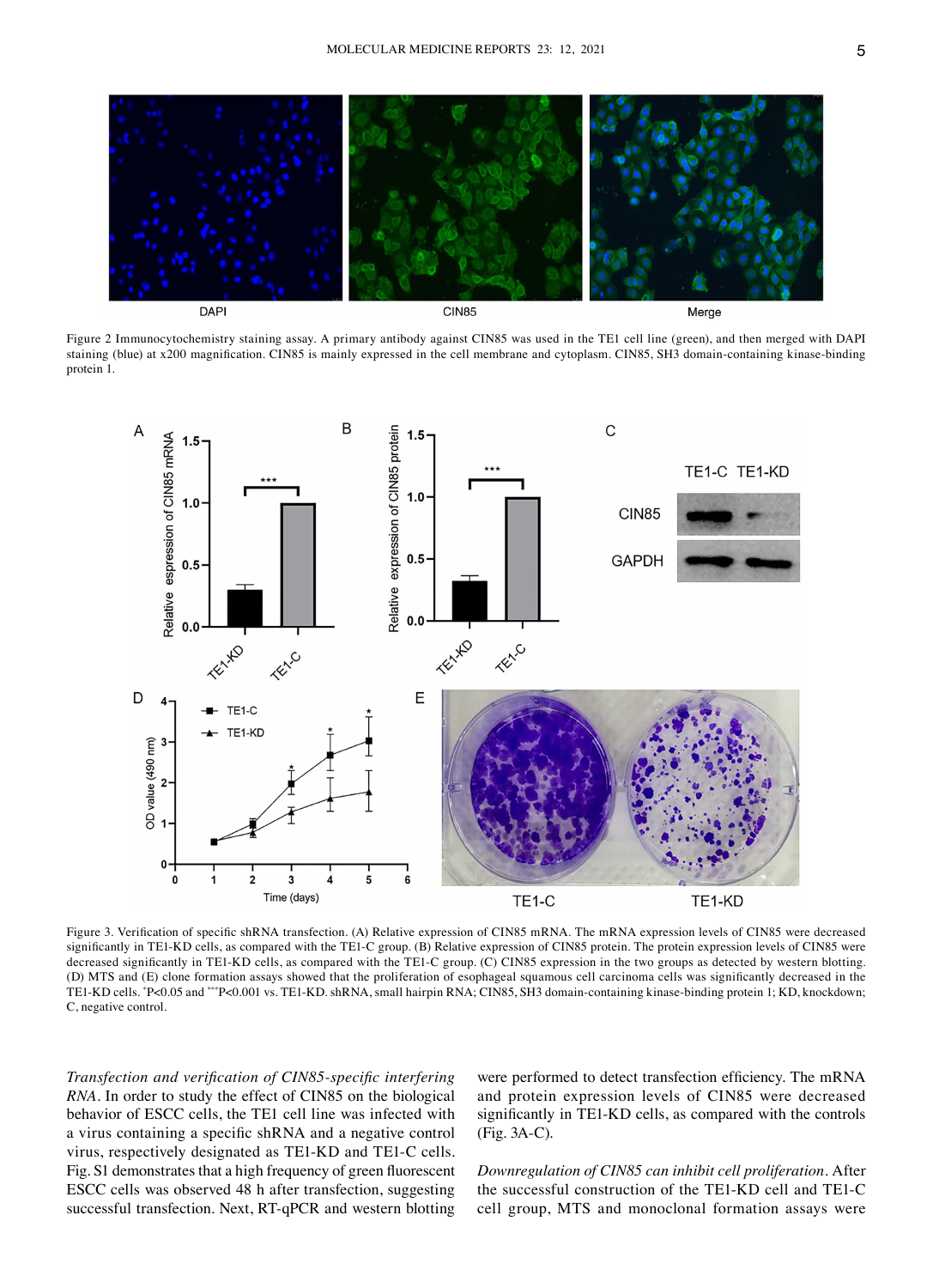

Figure 2 Immunocytochemistry staining assay. A primary antibody against CIN85 was used in the TE1 cell line (green), and then merged with DAPI staining (blue) at x200 magnification. CIN85 is mainly expressed in the cell membrane and cytoplasm. CIN85, SH3 domain-containing kinase-binding protein 1.



Figure 3. Verification of specific shRNA transfection. (A) Relative expression of CIN85 mRNA. The mRNA expression levels of CIN85 were decreased significantly in TE1-KD cells, as compared with the TE1-C group. (B) Relative expression of CIN85 protein. The protein expression levels of CIN85 were decreased significantly in TE1-KD cells, as compared with the TE1-C group. (C) CIN85 expression in the two groups as detected by western blotting. (D) MTS and (E) clone formation assays showed that the proliferation of esophageal squamous cell carcinoma cells was significantly decreased in the TE1-KD cells. \*P<0.05 and \*\*\*P<0.001 vs. TE1-KD. shRNA, small hairpin RNA; CIN85, SH3 domain-containing kinase-binding protein 1; KD, knockdown; C, negative control.

*Transfection and verification of CIN85‑specific interfering RNA.* In order to study the effect of CIN85 on the biological behavior of ESCC cells, the TE1 cell line was infected with a virus containing a specific shRNA and a negative control virus, respectively designated as TE1‑KD and TE1‑C cells. Fig. S1 demonstrates that a high frequency of green fluorescent ESCC cells was observed 48 h after transfection, suggesting successful transfection. Next, RT‑qPCR and western blotting

were performed to detect transfection efficiency. The mRNA and protein expression levels of CIN85 were decreased significantly in TE1-KD cells, as compared with the controls (Fig. 3A‑C).

*Downregulation of CIN85 can inhibit cell proliferation.* After the successful construction of the TE1‑KD cell and TE1‑C cell group, MTS and monoclonal formation assays were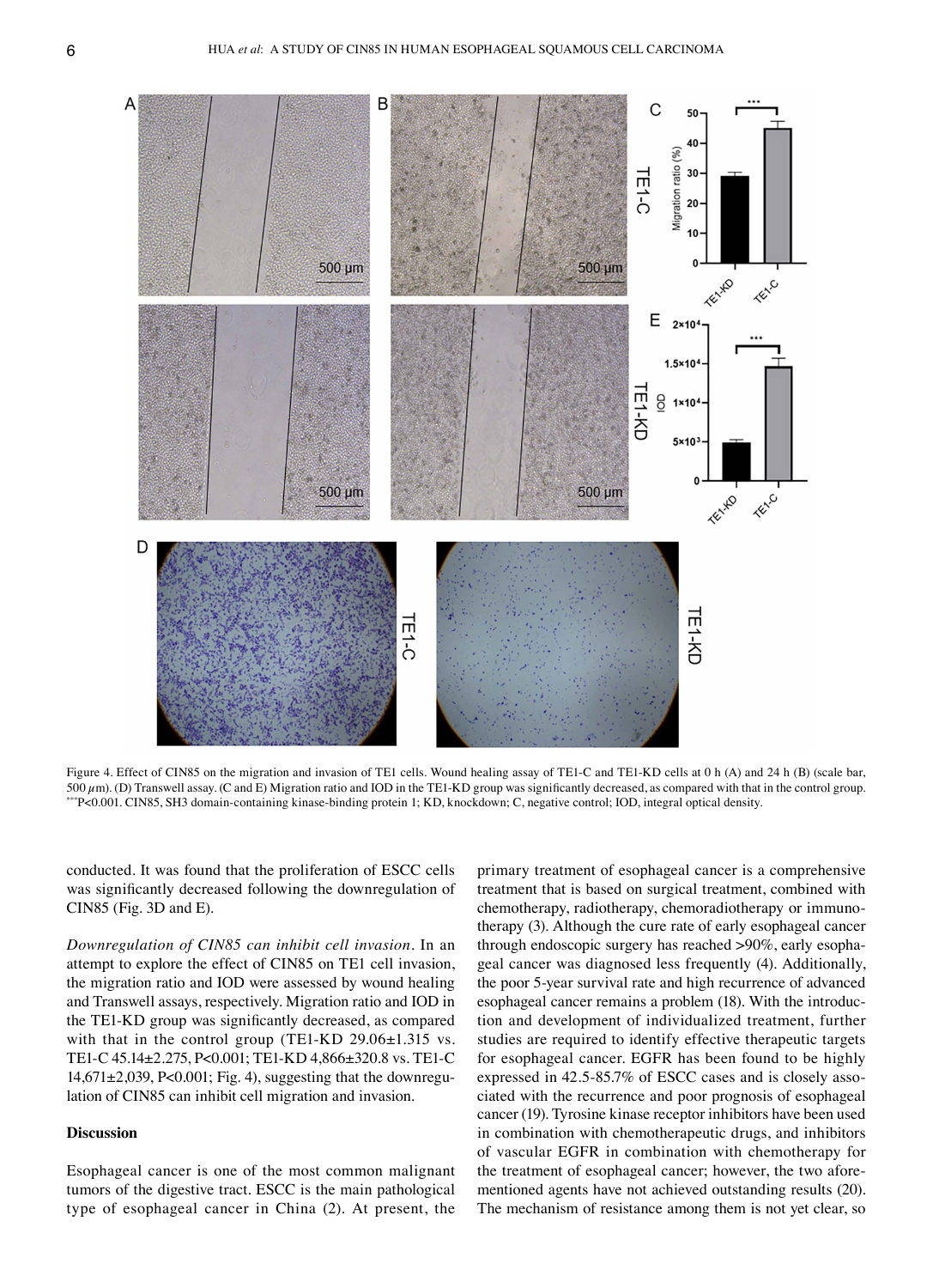

Figure 4. Effect of CIN85 on the migration and invasion of TE1 cells. Wound healing assay of TE1-C and TE1-KD cells at 0 h (A) and 24 h (B) (scale bar,  $500 \,\mu$ m). (D) Transwell assay. (C and E) Migration ratio and IOD in the TE1-KD group was significantly decreased, as compared with that in the control group. \*\*\*P<0.001. CIN85, SH3 domain‑containing kinase‑binding protein 1; KD, knockdown; C, negative control; IOD, integral optical density.

conducted. It was found that the proliferation of ESCC cells was significantly decreased following the downregulation of CIN85 (Fig. 3D and E).

*Downregulation of CIN85 can inhibit cell invasion.* In an attempt to explore the effect of CIN85 on TE1 cell invasion, the migration ratio and IOD were assessed by wound healing and Transwell assays, respectively. Migration ratio and IOD in the TE1‑KD group was significantly decreased, as compared with that in the control group (TE1-KD 29.06±1.315 vs. TE1‑C 45.14±2.275, P<0.001; TE1‑KD 4,866±320.8 vs. TE1‑C  $14,671\pm2,039$ , P<0.001; Fig. 4), suggesting that the downregulation of CIN85 can inhibit cell migration and invasion.

## **Discussion**

Esophageal cancer is one of the most common malignant tumors of the digestive tract. ESCC is the main pathological type of esophageal cancer in China (2). At present, the

primary treatment of esophageal cancer is a comprehensive treatment that is based on surgical treatment, combined with chemotherapy, radiotherapy, chemoradiotherapy or immunotherapy (3). Although the cure rate of early esophageal cancer through endoscopic surgery has reached >90%, early esophageal cancer was diagnosed less frequently (4). Additionally, the poor 5‑year survival rate and high recurrence of advanced esophageal cancer remains a problem (18). With the introduction and development of individualized treatment, further studies are required to identify effective therapeutic targets for esophageal cancer. EGFR has been found to be highly expressed in 42.5-85.7% of ESCC cases and is closely associated with the recurrence and poor prognosis of esophageal cancer (19). Tyrosine kinase receptor inhibitors have been used in combination with chemotherapeutic drugs, and inhibitors of vascular EGFR in combination with chemotherapy for the treatment of esophageal cancer; however, the two aforementioned agents have not achieved outstanding results (20). The mechanism of resistance among them is not yet clear, so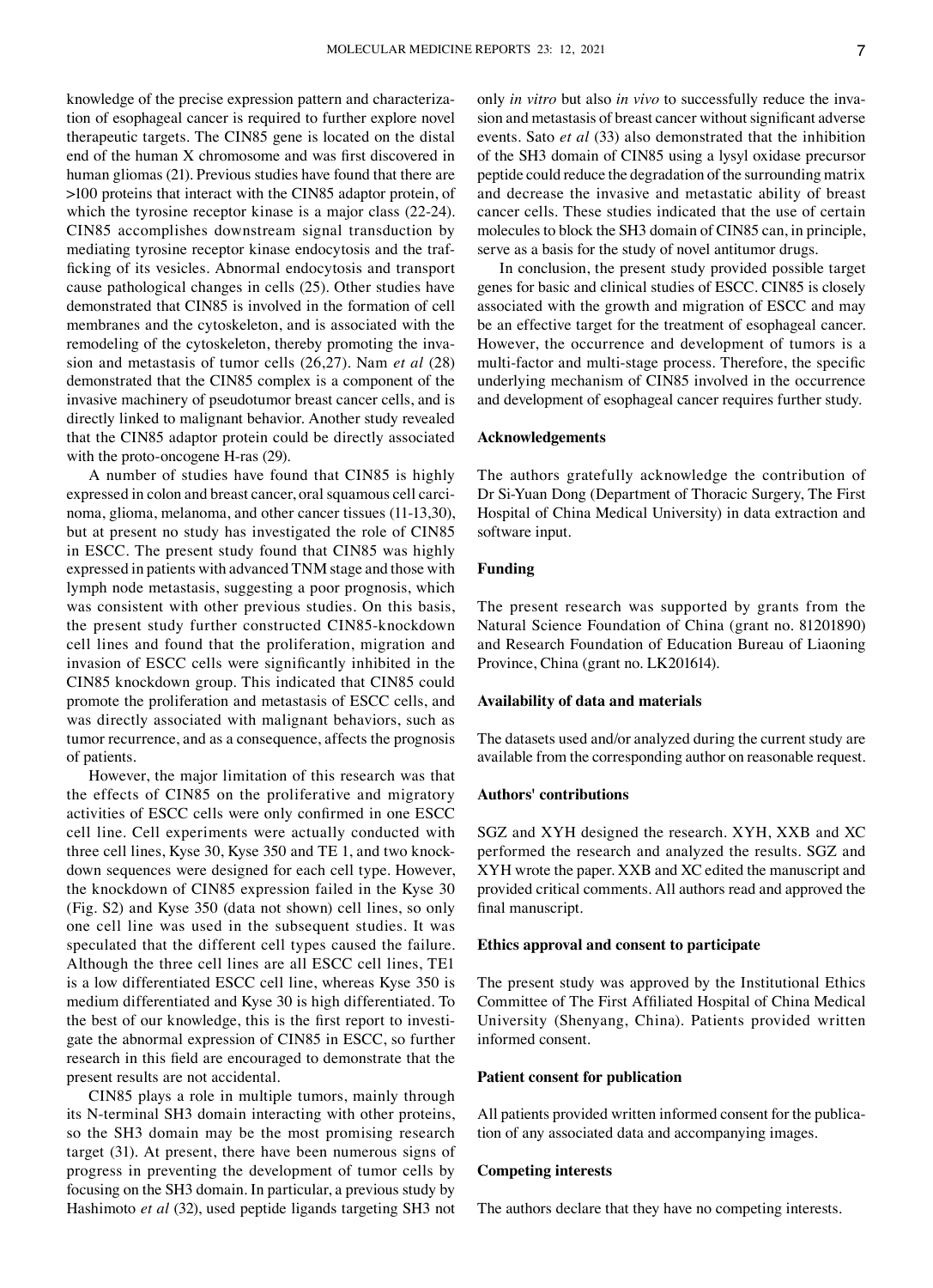knowledge of the precise expression pattern and characterization of esophageal cancer is required to further explore novel therapeutic targets. The CIN85 gene is located on the distal end of the human X chromosome and was first discovered in human gliomas (21). Previous studies have found that there are >100 proteins that interact with the CIN85 adaptor protein, of which the tyrosine receptor kinase is a major class (22‑24). CIN85 accomplishes downstream signal transduction by mediating tyrosine receptor kinase endocytosis and the trafficking of its vesicles. Abnormal endocytosis and transport cause pathological changes in cells (25). Other studies have demonstrated that CIN85 is involved in the formation of cell membranes and the cytoskeleton, and is associated with the remodeling of the cytoskeleton, thereby promoting the invasion and metastasis of tumor cells (26,27). Nam *et al* (28) demonstrated that the CIN85 complex is a component of the invasive machinery of pseudotumor breast cancer cells, and is directly linked to malignant behavior. Another study revealed that the CIN85 adaptor protein could be directly associated with the proto-oncogene H-ras (29).

A number of studies have found that CIN85 is highly expressed in colon and breast cancer, oral squamous cell carcinoma, glioma, melanoma, and other cancer tissues (11‑13,30), but at present no study has investigated the role of CIN85 in ESCC. The present study found that CIN85 was highly expressed in patients with advanced TNM stage and those with lymph node metastasis, suggesting a poor prognosis, which was consistent with other previous studies. On this basis, the present study further constructed CIN85‑knockdown cell lines and found that the proliferation, migration and invasion of ESCC cells were significantly inhibited in the CIN85 knockdown group. This indicated that CIN85 could promote the proliferation and metastasis of ESCC cells, and was directly associated with malignant behaviors, such as tumor recurrence, and as a consequence, affects the prognosis of patients.

However, the major limitation of this research was that the effects of CIN85 on the proliferative and migratory activities of ESCC cells were only confirmed in one ESCC cell line. Cell experiments were actually conducted with three cell lines, Kyse 30, Kyse 350 and TE 1, and two knockdown sequences were designed for each cell type. However, the knockdown of CIN85 expression failed in the Kyse 30 (Fig. S2) and Kyse 350 (data not shown) cell lines, so only one cell line was used in the subsequent studies. It was speculated that the different cell types caused the failure. Although the three cell lines are all ESCC cell lines, TE1 is a low differentiated ESCC cell line, whereas Kyse 350 is medium differentiated and Kyse 30 is high differentiated. To the best of our knowledge, this is the first report to investigate the abnormal expression of CIN85 in ESCC, so further research in this field are encouraged to demonstrate that the present results are not accidental.

CIN85 plays a role in multiple tumors, mainly through its N‑terminal SH3 domain interacting with other proteins, so the SH3 domain may be the most promising research target (31). At present, there have been numerous signs of progress in preventing the development of tumor cells by focusing on the SH3 domain. In particular, a previous study by Hashimoto *et al* (32), used peptide ligands targeting SH3 not only *in vitro* but also *in vivo* to successfully reduce the invasion and metastasis of breast cancer without significant adverse events. Sato *et al* (33) also demonstrated that the inhibition of the SH3 domain of CIN85 using a lysyl oxidase precursor peptide could reduce the degradation of the surrounding matrix and decrease the invasive and metastatic ability of breast cancer cells. These studies indicated that the use of certain molecules to block the SH3 domain of CIN85 can, in principle, serve as a basis for the study of novel antitumor drugs.

In conclusion, the present study provided possible target genes for basic and clinical studies of ESCC. CIN85 is closely associated with the growth and migration of ESCC and may be an effective target for the treatment of esophageal cancer. However, the occurrence and development of tumors is a multi-factor and multi-stage process. Therefore, the specific underlying mechanism of CIN85 involved in the occurrence and development of esophageal cancer requires further study.

### **Acknowledgements**

The authors gratefully acknowledge the contribution of Dr Si‑Yuan Dong (Department of Thoracic Surgery, The First Hospital of China Medical University) in data extraction and software input.

## **Funding**

The present research was supported by grants from the Natural Science Foundation of China (grant no. 81201890) and Research Foundation of Education Bureau of Liaoning Province, China (grant no. LK201614).

#### **Availability of data and materials**

The datasets used and/or analyzed during the current study are available from the corresponding author on reasonable request.

#### **Authors' contributions**

SGZ and XYH designed the research. XYH, XXB and XC performed the research and analyzed the results. SGZ and XYH wrote the paper. XXB and XC edited the manuscript and provided critical comments. All authors read and approved the final manuscript.

#### **Ethics approval and consent to participate**

The present study was approved by the Institutional Ethics Committee of The First Affiliated Hospital of China Medical University (Shenyang, China). Patients provided written informed consent.

#### **Patient consent for publication**

All patients provided written informed consent for the publication of any associated data and accompanying images.

### **Competing interests**

The authors declare that they have no competing interests.